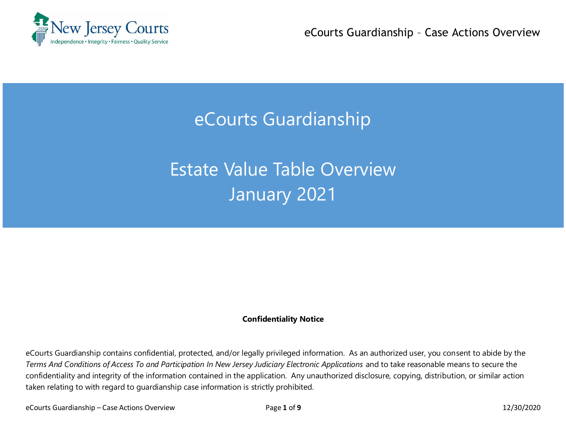

eCourts Guardianship – Case Actions Overview

## eCourts Guardianship

# Estate Value Table Overview January 2021

#### **Confidentiality Notice**

eCourts Guardianship contains confidential, protected, and/or legally privileged information. As an authorized user, you consent to abide by the *Terms And Conditions of Access To and Participation In New Jersey Judiciary Electronic Applications* and to take reasonable means to secure the confidentiality and integrity of the information contained in the application. Any unauthorized disclosure, copying, distribution, or similar action taken relating to with regard to guardianship case information is strictly prohibited.

eCourts Guardianship – Case Actions Overview Page **1** of **9** 12/30/2020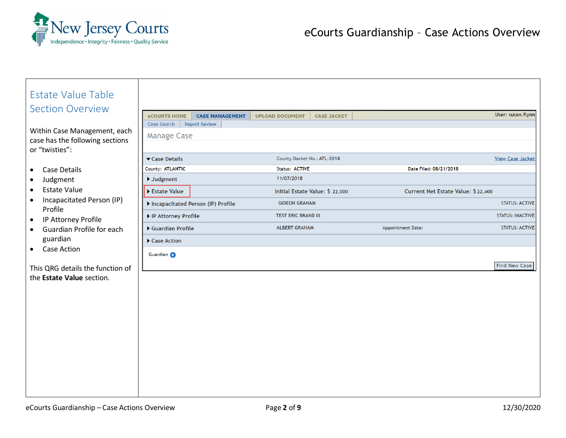

| <b>Estate Value Table</b><br><b>Section Overview</b><br>Within Case Management, each<br>case has the following sections<br>or "twisties": | <b>eCOURTS HOME</b><br><b>CASE MANAGEMENT</b><br><b>Report Review</b><br>Case Search<br><b>Manage Case</b> | <b>UPLOAD DOCUMENT</b><br><b>CASE JACKET</b>                       |                                    | User: susan.flynn                                |
|-------------------------------------------------------------------------------------------------------------------------------------------|------------------------------------------------------------------------------------------------------------|--------------------------------------------------------------------|------------------------------------|--------------------------------------------------|
| Case Details<br>$\bullet$                                                                                                                 | Case Details<br>County: ATLANTIC<br>▶ Judgment                                                             | County Docket No.: ATL-2018<br><b>Status: ACTIVE</b><br>11/07/2018 | Date Filed: 08/21/2018             | <b>View Case Jacket</b>                          |
| Judgment<br><b>Estate Value</b><br>$\bullet$<br>Incapacitated Person (IP)<br>$\bullet$                                                    | Estate Value<br>Incapacitated Person (IP) Profile                                                          | Initial Estate Value: \$ 22,000<br><b>GIDEON GRAHAM</b>            | Current Net Estate Value: \$22,400 | <b>STATUS: ACTIVE</b>                            |
| Profile<br>IP Attorney Profile<br>$\bullet$                                                                                               | ▶ IP Attorney Profile                                                                                      | <b>TEST ERIC BRAND III</b><br><b>ALBERT GRAHAM</b>                 |                                    | <b>STATUS: INACTIVE</b><br><b>STATUS: ACTIVE</b> |
| Guardian Profile for each<br>$\bullet$<br>guardian                                                                                        | Guardian Profile<br>Case Action                                                                            |                                                                    | Appointment Date:                  |                                                  |
| Case Action<br>This QRG details the function of<br>the Estate Value section.                                                              | Guardian O                                                                                                 |                                                                    |                                    | Find New Case                                    |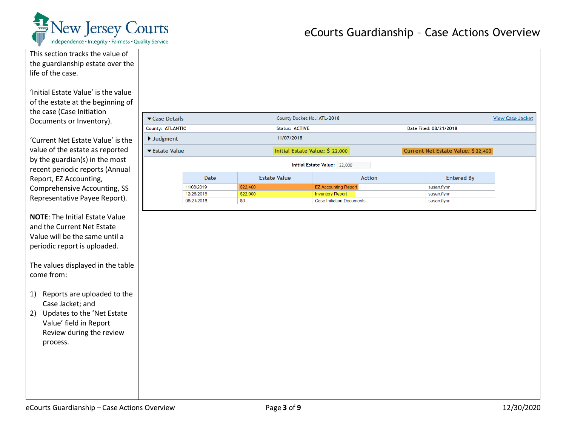

| This section tracks the value of      |                                |                          |                             |                                                             |                                    |                         |
|---------------------------------------|--------------------------------|--------------------------|-----------------------------|-------------------------------------------------------------|------------------------------------|-------------------------|
| the guardianship estate over the      |                                |                          |                             |                                                             |                                    |                         |
| life of the case.                     |                                |                          |                             |                                                             |                                    |                         |
|                                       |                                |                          |                             |                                                             |                                    |                         |
| 'Initial Estate Value' is the value   |                                |                          |                             |                                                             |                                    |                         |
| of the estate at the beginning of     |                                |                          |                             |                                                             |                                    |                         |
| the case (Case Initiation             |                                |                          |                             |                                                             |                                    |                         |
| Documents or Inventory).              | Case Details                   |                          | County Docket No.: ATL-2018 |                                                             |                                    | <b>View Case Jacket</b> |
|                                       | County: ATLANTIC               |                          | <b>Status: ACTIVE</b>       |                                                             | Date Filed: 08/21/2018             |                         |
| 'Current Net Estate Value' is the     | $\blacktriangleright$ Judgment |                          | 11/07/2018                  |                                                             |                                    |                         |
| value of the estate as reported       | ▼ Estate Value                 |                          |                             | Initial Estate Value: \$ 22,000                             | Current Net Estate Value: \$22,400 |                         |
| by the guardian(s) in the most        |                                |                          |                             | Initial Estate Value: 22,000                                |                                    |                         |
| recent periodic reports (Annual       |                                |                          |                             |                                                             |                                    |                         |
| Report, EZ Accounting,                |                                | Date                     | <b>Estate Value</b>         | <b>Action</b>                                               | <b>Entered By</b>                  |                         |
| Comprehensive Accounting, SS          |                                | 11/08/2019               | \$22,400                    | <b>EZ Accounting Report</b>                                 | susan.flynn                        |                         |
| Representative Payee Report).         |                                | 12/26/2018<br>08/21/2018 | \$22,000<br>\$0             | <b>Inventory Report</b><br><b>Case Initiation Documents</b> | susan.flynn<br>susan.flynn         |                         |
|                                       |                                |                          |                             |                                                             |                                    |                         |
| <b>NOTE:</b> The Initial Estate Value |                                |                          |                             |                                                             |                                    |                         |
| and the Current Net Estate            |                                |                          |                             |                                                             |                                    |                         |
| Value will be the same until a        |                                |                          |                             |                                                             |                                    |                         |
| periodic report is uploaded.          |                                |                          |                             |                                                             |                                    |                         |
|                                       |                                |                          |                             |                                                             |                                    |                         |
| The values displayed in the table     |                                |                          |                             |                                                             |                                    |                         |
| come from:                            |                                |                          |                             |                                                             |                                    |                         |
|                                       |                                |                          |                             |                                                             |                                    |                         |
| 1) Reports are uploaded to the        |                                |                          |                             |                                                             |                                    |                         |
| Case Jacket; and                      |                                |                          |                             |                                                             |                                    |                         |
|                                       |                                |                          |                             |                                                             |                                    |                         |
| 2) Updates to the 'Net Estate         |                                |                          |                             |                                                             |                                    |                         |
| Value' field in Report                |                                |                          |                             |                                                             |                                    |                         |
| Review during the review              |                                |                          |                             |                                                             |                                    |                         |
| process.                              |                                |                          |                             |                                                             |                                    |                         |
|                                       |                                |                          |                             |                                                             |                                    |                         |
|                                       |                                |                          |                             |                                                             |                                    |                         |
|                                       |                                |                          |                             |                                                             |                                    |                         |
|                                       |                                |                          |                             |                                                             |                                    |                         |
|                                       |                                |                          |                             |                                                             |                                    |                         |
|                                       |                                |                          |                             |                                                             |                                    |                         |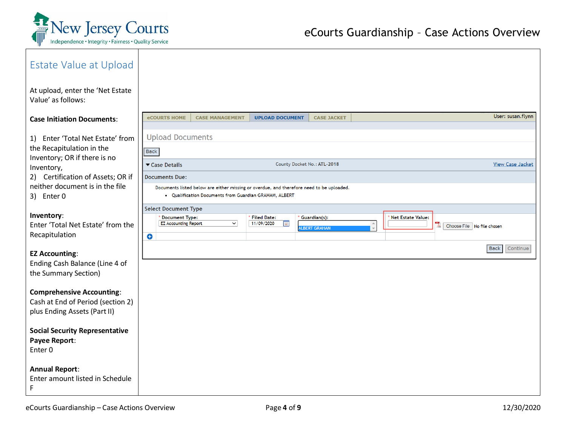

| Estate Value at Upload                                            |                                                        |                                                                                          |                                                  |
|-------------------------------------------------------------------|--------------------------------------------------------|------------------------------------------------------------------------------------------|--------------------------------------------------|
| At upload, enter the 'Net Estate<br>Value' as follows:            |                                                        |                                                                                          |                                                  |
| <b>Case Initiation Documents:</b>                                 | <b>eCOURTS HOME</b><br><b>CASE MANAGEMENT</b>          | <b>UPLOAD DOCUMENT</b><br><b>CASE JACKET</b>                                             | User: susan.flynn                                |
| Enter 'Total Net Estate' from<br>1)                               | <b>Upload Documents</b>                                |                                                                                          |                                                  |
| the Recapitulation in the                                         | <b>Back</b>                                            |                                                                                          |                                                  |
| Inventory; OR if there is no<br>Inventory,                        | Case Details                                           | County Docket No.: ATL-2018                                                              | <b>View Case Jacket</b>                          |
| 2) Certification of Assets; OR if                                 | <b>Documents Due:</b>                                  |                                                                                          |                                                  |
| neither document is in the file<br>3) Enter 0                     | • Qualification Documents from Guardian GRAHAM, ALBERT | Documents listed below are either missing or overdue, and therefore need to be uploaded. |                                                  |
| Inventory:                                                        | <b>Select Document Type</b><br><b>Document Type:</b>   | <b>Filed Date:</b><br>Guardian(s):                                                       | <b>Net Estate Value:</b>                         |
| Enter 'Total Net Estate' from the                                 | $\vee$<br><b>EZ Accounting Report</b>                  | 11/09/2020<br>F<br><b>LBERT GRAHAM</b>                                                   | A Choose File No file chosen<br>$\blacktriangle$ |
| Recapitulation                                                    | $\bullet$                                              |                                                                                          |                                                  |
| <b>EZ Accounting:</b>                                             |                                                        |                                                                                          | <b>Back</b><br>Continue                          |
| Ending Cash Balance (Line 4 of<br>the Summary Section)            |                                                        |                                                                                          |                                                  |
|                                                                   |                                                        |                                                                                          |                                                  |
| <b>Comprehensive Accounting:</b>                                  |                                                        |                                                                                          |                                                  |
| Cash at End of Period (section 2)<br>plus Ending Assets (Part II) |                                                        |                                                                                          |                                                  |
| <b>Social Security Representative</b>                             |                                                        |                                                                                          |                                                  |
| Payee Report:<br>Enter 0                                          |                                                        |                                                                                          |                                                  |
| <b>Annual Report:</b><br>Enter amount listed in Schedule<br>F     |                                                        |                                                                                          |                                                  |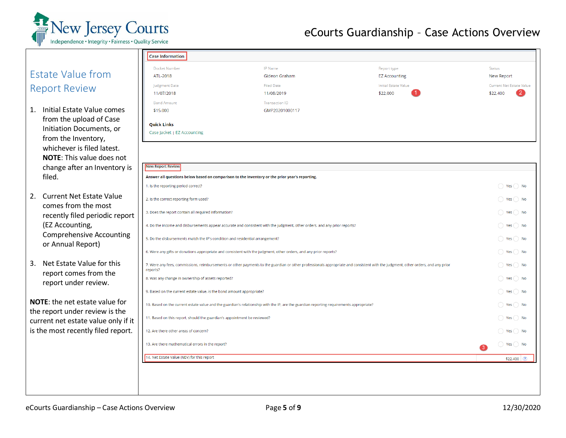

#### Estate Value from Report Review

- 1. Initial Estate Value comes from the upload of Case Initiation Documents, or from the Inventory, whichever is filed latest. **NOTE**: This value does not change after an Inventory is filed.
- 2. Current Net Estate Value comes from the most recently filed periodic repor (EZ Accounting, Comprehensive Accounting or Annual Report)
- 3. Net Estate Value for this report comes from the report under review.

**NOTE**: the net estate value for the report under review is the current net estate value only if is the most recently filed report

| Docket Number                                                                                                             | IP Name                                                                                                                                                                          | Report type                 | Status                          |  |  |  |
|---------------------------------------------------------------------------------------------------------------------------|----------------------------------------------------------------------------------------------------------------------------------------------------------------------------------|-----------------------------|---------------------------------|--|--|--|
| ATL-2018                                                                                                                  | Gideon Graham                                                                                                                                                                    | <b>EZ Accounting</b>        | New Report                      |  |  |  |
| Judgment Date                                                                                                             | <b>Filed Date</b>                                                                                                                                                                | <b>Initial Estate Value</b> | <b>Current Net Estate Value</b> |  |  |  |
| 11/07/2018                                                                                                                | 11/08/2019                                                                                                                                                                       | \$22,000                    | \$22,400                        |  |  |  |
| <b>Bond Amount</b>                                                                                                        | <b>Transaction ID</b>                                                                                                                                                            |                             |                                 |  |  |  |
| \$15,000                                                                                                                  | GMP20201000117                                                                                                                                                                   |                             |                                 |  |  |  |
| <b>Quick Links</b>                                                                                                        |                                                                                                                                                                                  |                             |                                 |  |  |  |
| Case Jacket   EZ Accounting                                                                                               |                                                                                                                                                                                  |                             |                                 |  |  |  |
| <b>New Report Review</b>                                                                                                  |                                                                                                                                                                                  |                             |                                 |  |  |  |
|                                                                                                                           | Answer all questions below based on comparison to the Inventory or the prior year's reporting.                                                                                   |                             |                                 |  |  |  |
| 1. Is the reporting period correct?                                                                                       |                                                                                                                                                                                  |                             | $\bigcirc$ Yes $\bigcirc$ No    |  |  |  |
| 2. Is the correct reporting form used?                                                                                    |                                                                                                                                                                                  |                             | $)$ Yes $()$ No                 |  |  |  |
| 3. Does the report contain all required information?                                                                      |                                                                                                                                                                                  |                             |                                 |  |  |  |
| 4. Do the income and disbursements appear accurate and consistent with the judgment, other orders, and any prior reports? |                                                                                                                                                                                  |                             |                                 |  |  |  |
| 5. Do the disbursements match the IP's condition and residential arrangement?                                             |                                                                                                                                                                                  |                             | $\bigcirc$ Yes $\bigcirc$ No    |  |  |  |
|                                                                                                                           | 6. Were any gifts or donations appropriate and consistent with the judgment, other orders, and any prior reports?                                                                |                             | $)$ Yes $()$ No                 |  |  |  |
| reports?                                                                                                                  | 7. Were any fees, commissions, reimbursements or other payments to the guardian or other professionals appropriate and consistent with the judgment, other orders, and any prior |                             | $\bigcirc$ Yes $\bigcirc$ No    |  |  |  |
| 8. Was any change in ownership of assets reported?                                                                        |                                                                                                                                                                                  |                             | ) Yes ( ) No                    |  |  |  |
| 9. Based on the current estate value, is the bond amount appropriate?                                                     |                                                                                                                                                                                  |                             | $\bigcirc$ Yes $\bigcirc$ No    |  |  |  |
|                                                                                                                           | 10. Based on the current estate value and the guardian's relationship with the IP, are the guardian reporting requirements appropriate?                                          |                             | $)$ Yes $()$ No                 |  |  |  |
| 11. Based on this report, should the guardian's appointment be reviewed?                                                  |                                                                                                                                                                                  |                             | $)$ Yes $()$ No                 |  |  |  |
| 12. Are there other areas of concern?                                                                                     |                                                                                                                                                                                  |                             | $\bigcirc$ Yes $\bigcirc$ No    |  |  |  |
| 13. Are there mathematical errors in the report?                                                                          |                                                                                                                                                                                  |                             | () Yes() No<br>3                |  |  |  |
|                                                                                                                           |                                                                                                                                                                                  |                             | $$22,400$ (?)                   |  |  |  |
| 14. Net Estate Value (NEV) for this report                                                                                |                                                                                                                                                                                  |                             |                                 |  |  |  |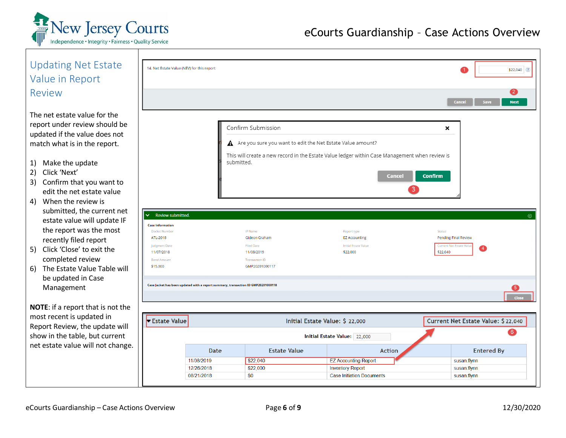

| <b>Updating Net Estate</b>                 | 14. Net Estate Value (NEV) for this report                                        |                         |                                                                                                |                                     |                          | $$22,040$ ?                           |  |
|--------------------------------------------|-----------------------------------------------------------------------------------|-------------------------|------------------------------------------------------------------------------------------------|-------------------------------------|--------------------------|---------------------------------------|--|
| Value in Report                            |                                                                                   |                         |                                                                                                |                                     |                          |                                       |  |
|                                            |                                                                                   |                         |                                                                                                |                                     |                          |                                       |  |
| Review                                     |                                                                                   |                         |                                                                                                |                                     |                          | $\mathbf{2}$<br><b>Cancel</b><br>Save |  |
|                                            |                                                                                   |                         |                                                                                                |                                     |                          | <b>Next</b>                           |  |
| The net estate value for the               |                                                                                   |                         |                                                                                                |                                     |                          |                                       |  |
| report under review should be              |                                                                                   | Confirm Submission<br>× |                                                                                                |                                     |                          |                                       |  |
| updated if the value does not              |                                                                                   |                         |                                                                                                |                                     |                          |                                       |  |
| match what is in the report.               |                                                                                   |                         | A Are you sure you want to edit the Net Estate Value amount?                                   |                                     |                          |                                       |  |
|                                            |                                                                                   |                         | This will create a new record in the Estate Value ledger within Case Management when review is |                                     |                          |                                       |  |
| Make the update<br>1)                      |                                                                                   | submitted.              |                                                                                                |                                     |                          |                                       |  |
| Click 'Next'<br>2)                         |                                                                                   |                         |                                                                                                |                                     | <b>Confirm</b><br>Cancel |                                       |  |
| Confirm that you want to<br>3)             |                                                                                   |                         |                                                                                                |                                     | 3                        |                                       |  |
| edit the net estate value                  |                                                                                   |                         |                                                                                                |                                     |                          |                                       |  |
| 4) When the review is                      |                                                                                   |                         |                                                                                                |                                     |                          |                                       |  |
| submitted, the current net<br>$\checkmark$ | Review submitted.                                                                 |                         |                                                                                                |                                     |                          | $\circledcirc$                        |  |
| estate value will update IF                | <b>Case Information</b>                                                           |                         |                                                                                                |                                     |                          |                                       |  |
| the report was the most                    | <b>Docket Number</b><br>ATL-2018                                                  |                         | <b>IP</b> Name<br>Gideon Graham                                                                | Report type<br><b>EZ Accounting</b> | Status                   | <b>Pending Final Review</b>           |  |
| recently filed report                      | Judgment Date                                                                     |                         | <b>Filed Date</b>                                                                              | <b>Initial Estate Value</b>         |                          | <b>Current Net Estate Valu</b>        |  |
| 5) Click 'Close' to exit the               | 11/07/2018                                                                        |                         | \$22,000<br>11/08/2019                                                                         |                                     | \$22,040                 | 〔4〕                                   |  |
| completed review                           | <b>Bond Amount</b><br>\$15,000                                                    |                         | <b>Transaction ID</b><br>GMP20201000117                                                        |                                     |                          |                                       |  |
| 6) The Estate Value Table will             |                                                                                   |                         |                                                                                                |                                     |                          |                                       |  |
| be updated in Case                         | Case Jacket has been updated with a report summary, transaction ID GMP20201000118 |                         |                                                                                                |                                     |                          |                                       |  |
| Management                                 |                                                                                   |                         |                                                                                                |                                     |                          | $\sqrt{5}$                            |  |
|                                            |                                                                                   |                         |                                                                                                |                                     |                          | Close                                 |  |
| <b>NOTE:</b> if a report that is not the   |                                                                                   |                         |                                                                                                |                                     |                          |                                       |  |
| most recent is updated in                  | Estate Value                                                                      |                         | Initial Estate Value: \$ 22,000                                                                |                                     |                          | Current Net Estate Value: \$22,040    |  |
| Report Review, the update will             |                                                                                   |                         |                                                                                                |                                     |                          |                                       |  |
| show in the table, but current             |                                                                                   |                         |                                                                                                | Initial Estate Value: 22,000        |                          |                                       |  |
| net estate value will not change.          |                                                                                   | Date                    | <b>Estate Value</b>                                                                            |                                     | <b>Action</b>            | <b>Entered By</b>                     |  |
|                                            | 11/08/2019                                                                        |                         | \$22,040                                                                                       | <b>EZ Accounting Report</b>         |                          | susan.flynn                           |  |
|                                            | 12/26/2018                                                                        |                         | \$22,000                                                                                       | <b>Inventory Report</b>             |                          | susan.flynn                           |  |
|                                            | 08/21/2018                                                                        |                         | \$0                                                                                            | <b>Case Initiation Documents</b>    |                          | susan.flynn                           |  |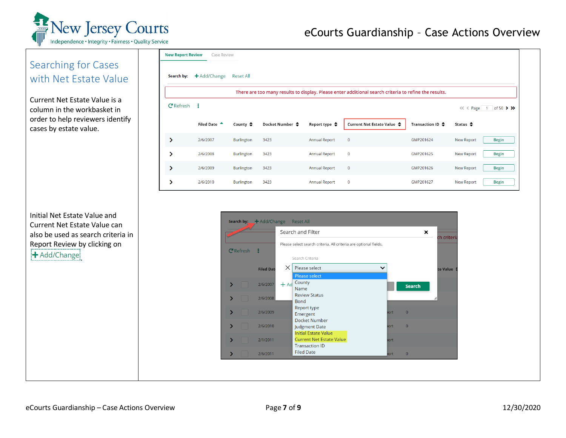

#### eCourts Guardianship – Case Actions Overview

#### Searching for Cases with Net Estate Value

Current Net Estate Value is a column in the workbasket in order to help reviewers identify cases by estate value.

Initial Net Estate Value and Current Net Estate Value can also be used as search criteria in Report Review by clicking on

| <b>New Report Review</b><br>Case Review                                                               |                         |                     |                 |                         |                            |                            |                                   |  |  |  |
|-------------------------------------------------------------------------------------------------------|-------------------------|---------------------|-----------------|-------------------------|----------------------------|----------------------------|-----------------------------------|--|--|--|
| Search by:                                                                                            | $\bigstar$ Add/Change   | <b>Reset All</b>    |                 |                         |                            |                            |                                   |  |  |  |
| There are too many results to display. Please enter additional search criteria to refine the results. |                         |                     |                 |                         |                            |                            |                                   |  |  |  |
| $C$ Refresh :<br>of 50 $\rightarrow$ $\rightarrow$<br>$1 -$                                           |                         |                     |                 |                         |                            |                            |                                   |  |  |  |
|                                                                                                       | Filed Date <sup>4</sup> | County $\triangleq$ | Docket Number ♦ | Report type $\clubsuit$ | Current Net Estate Value ♦ | Transaction ID $\clubsuit$ | Status $\triangleq$               |  |  |  |
| ⋟                                                                                                     | 2/6/2007                | <b>Burlington</b>   | 3423            | <b>Annual Report</b>    | $\mathbf 0$                | GMP201624                  | <b>Begin</b><br><b>New Report</b> |  |  |  |
|                                                                                                       | 2/6/2008                | <b>Burlington</b>   | 3423            | <b>Annual Report</b>    | $\bf{0}$                   | GMP201625                  | <b>Begin</b><br><b>New Report</b> |  |  |  |
| ⋗                                                                                                     | 2/6/2009                | <b>Burlington</b>   | 3423            | <b>Annual Report</b>    | $\pmb{0}$                  | GMP201626                  | <b>Begin</b><br>New Report        |  |  |  |
|                                                                                                       | 2/6/2010                | <b>Burlington</b>   | 3423            | <b>Annual Report</b>    | $\pmb{0}$                  | GMP201627                  | <b>New Report</b><br><b>Begin</b> |  |  |  |

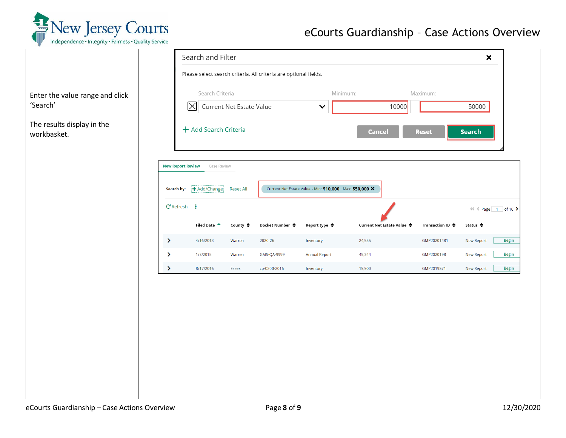

### eCourts Guardianship – Case Actions Overview

|                                             |                          | Search and Filter              |                          |                                                                  |                                                          |                            |                  | $\pmb{\times}$        |              |
|---------------------------------------------|--------------------------|--------------------------------|--------------------------|------------------------------------------------------------------|----------------------------------------------------------|----------------------------|------------------|-----------------------|--------------|
|                                             |                          |                                |                          | Please select search criteria. All criteria are optional fields. |                                                          |                            |                  |                       |              |
| Enter the value range and click<br>'Search' |                          | Search Criteria<br>$\boxtimes$ | Current Net Estate Value |                                                                  | Minimum:<br>$\checkmark$                                 | 10000                      | Maximum:         | 50000                 |              |
| The results display in the                  |                          |                                |                          |                                                                  |                                                          |                            |                  |                       |              |
| workbasket.                                 |                          | + Add Search Criteria          |                          |                                                                  |                                                          | <b>Cancel</b>              | <b>Reset</b>     | <b>Search</b>         |              |
|                                             |                          |                                |                          |                                                                  |                                                          |                            |                  |                       |              |
|                                             | <b>New Report Review</b> | Case Review                    |                          |                                                                  |                                                          |                            |                  |                       |              |
|                                             | Search by:               | + Add/Change                   | <b>Reset All</b>         |                                                                  | Current Net Estate Value - Min: \$10,000 Max: \$50,000 X |                            |                  |                       |              |
|                                             | $C$ Refresh $\vdots$     |                                |                          |                                                                  |                                                          |                            |                  | $<<$ $Page$ 1 of 16 > |              |
|                                             |                          | Filed Date <sup>4</sup>        | County $\triangleq$      | Docket Number ♦                                                  | Report type ♦                                            | Current Net Estate Value ♦ | Transaction ID ♦ | Status $\triangleq$   |              |
|                                             | ×                        | 4/16/2013                      | Warren                   | 2020-26                                                          | Inventory                                                | 24,555                     | GMP20201481      | New Report            | <b>Begin</b> |
|                                             | $\rightarrow$            | 1/7/2015                       | Warren                   | GMS-QA-9999                                                      | <b>Annual Report</b>                                     | 45,344                     | GMP2020198       | <b>New Report</b>     | <b>Begin</b> |
|                                             | $\sum_{i=1}^{n}$         | 8/17/2016                      | Essex                    | cp-0200-2016                                                     | Inventory                                                | 15,500                     | GMP2019571       | New Report            | <b>Begin</b> |
|                                             |                          |                                |                          |                                                                  |                                                          |                            |                  |                       |              |
|                                             |                          |                                |                          |                                                                  |                                                          |                            |                  |                       |              |
|                                             |                          |                                |                          |                                                                  |                                                          |                            |                  |                       |              |
|                                             |                          |                                |                          |                                                                  |                                                          |                            |                  |                       |              |
|                                             |                          |                                |                          |                                                                  |                                                          |                            |                  |                       |              |
|                                             |                          |                                |                          |                                                                  |                                                          |                            |                  |                       |              |
|                                             |                          |                                |                          |                                                                  |                                                          |                            |                  |                       |              |